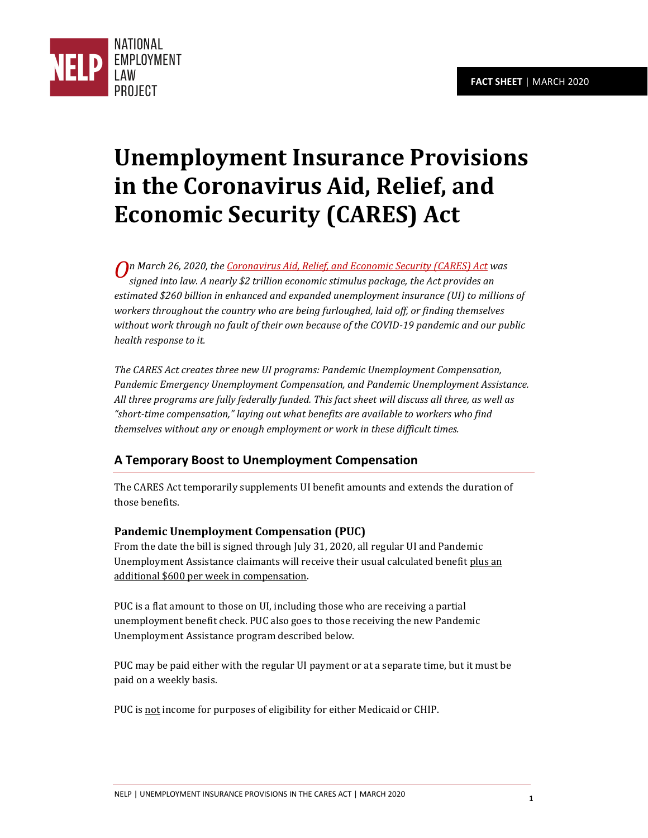

# **Unemployment Insurance Provisions in the Coronavirus Aid, Relief, and Economic Security (CARES) Act**

*n March 26, 2020, th[e Coronavirus Aid, Relief, and Economic Security \(CARES\) Act](https://www.majorityleader.gov/sites/democraticwhip.house.gov/files/Senate%20Amendment%20to%20H.R.%20748_0.pdf) was O signed into law. A nearly \$2 trillion economic stimulus package, the Act provides an estimated \$260 billion in enhanced and expanded unemployment insurance (UI) to millions of workers throughout the country who are being furloughed, laid off, or finding themselves without work through no fault of their own because of the COVID-19 pandemic and our public health response to it.*

*The CARES Act creates three new UI programs: Pandemic Unemployment Compensation, Pandemic Emergency Unemployment Compensation, and Pandemic Unemployment Assistance. All three programs are fully federally funded. This fact sheet will discuss all three, as well as "short-time compensation," laying out what benefits are available to workers who find themselves without any or enough employment or work in these difficult times.*

# **A Temporary Boost to Unemployment Compensation**

The CARES Act temporarily supplements UI benefit amounts and extends the duration of those benefits.

## **Pandemic Unemployment Compensation (PUC)**

From the date the bill is signed through July 31, 2020, all regular UI and Pandemic Unemployment Assistance claimants will receive their usual calculated benefit plus an additional \$600 per week in compensation.

PUC is a flat amount to those on UI, including those who are receiving a partial unemployment benefit check. PUC also goes to those receiving the new Pandemic Unemployment Assistance program described below.

PUC may be paid either with the regular UI payment or at a separate time, but it must be paid on a weekly basis.

PUC is not income for purposes of eligibility for either Medicaid or CHIP.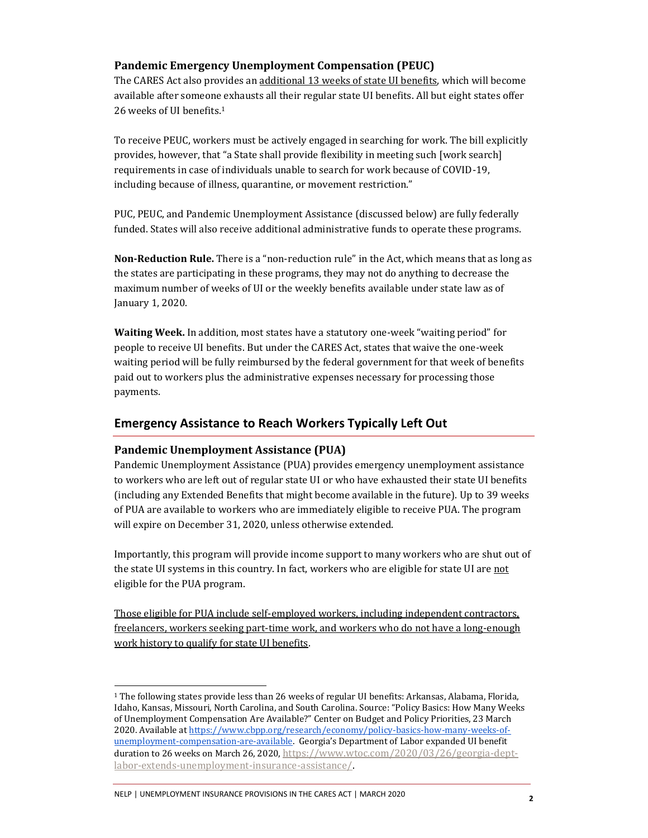#### **Pandemic Emergency Unemployment Compensation (PEUC)**

The CARES Act also provides an additional 13 weeks of state UI benefits, which will become available after someone exhausts all their regular state UI benefits. All but eight states offer 26 weeks of UI benefits.<sup>1</sup>

To receive PEUC, workers must be actively engaged in searching for work. The bill explicitly provides, however, that "a State shall provide flexibility in meeting such [work search] requirements in case of individuals unable to search for work because of COVID-19, including because of illness, quarantine, or movement restriction."

PUC, PEUC, and Pandemic Unemployment Assistance (discussed below) are fully federally funded. States will also receive additional administrative funds to operate these programs.

**Non-Reduction Rule.** There is a "non-reduction rule" in the Act, which means that as long as the states are participating in these programs, they may not do anything to decrease the maximum number of weeks of UI or the weekly benefits available under state law as of January 1, 2020.

**Waiting Week.** In addition, most states have a statutory one-week "waiting period" for people to receive UI benefits. But under the CARES Act, states that waive the one-week waiting period will be fully reimbursed by the federal government for that week of benefits paid out to workers plus the administrative expenses necessary for processing those payments.

#### **Emergency Assistance to Reach Workers Typically Left Out**

#### **Pandemic Unemployment Assistance (PUA)**

Pandemic Unemployment Assistance (PUA) provides emergency unemployment assistance to workers who are left out of regular state UI or who have exhausted their state UI benefits (including any Extended Benefits that might become available in the future). Up to 39 weeks of PUA are available to workers who are immediately eligible to receive PUA. The program will expire on December 31, 2020, unless otherwise extended.

Importantly, this program will provide income support to many workers who are shut out of the state UI systems in this country. In fact, workers who are eligible for state UI are not eligible for the PUA program.

Those eligible for PUA include self-employed workers, including independent contractors, freelancers, workers seeking part-time work, and workers who do not have a long-enough work history to qualify for state UI benefits.

### NELP | UNEMPLOYMENT INSURANCE PROVISIONS IN THE CARES ACT | MARCH 2020 **<sup>2</sup>**

<sup>1</sup> The following states provide less than 26 weeks of regular UI benefits: Arkansas, Alabama, Florida, Idaho, Kansas, Missouri, North Carolina, and South Carolina. Source: "Policy Basics: How Many Weeks of Unemployment Compensation Are Available?" Center on Budget and Policy Priorities, 23 March 2020. Available at [https://www.cbpp.org/research/economy/policy-basics-how-many-weeks-of](https://www.cbpp.org/research/economy/policy-basics-how-many-weeks-of-unemployment-compensation-are-available)[unemployment-compensation-are-available.](https://www.cbpp.org/research/economy/policy-basics-how-many-weeks-of-unemployment-compensation-are-available) Georgia's Department of Labor expanded UI benefit duration to 26 weeks on March 26, 2020, [https://www.wtoc.com/2020/03/26/georgia-dept](https://www.wtoc.com/2020/03/26/georgia-dept-labor-extends-unemployment-insurance-assistance/)[labor-extends-unemployment-insurance-assistance/.](https://www.wtoc.com/2020/03/26/georgia-dept-labor-extends-unemployment-insurance-assistance/)